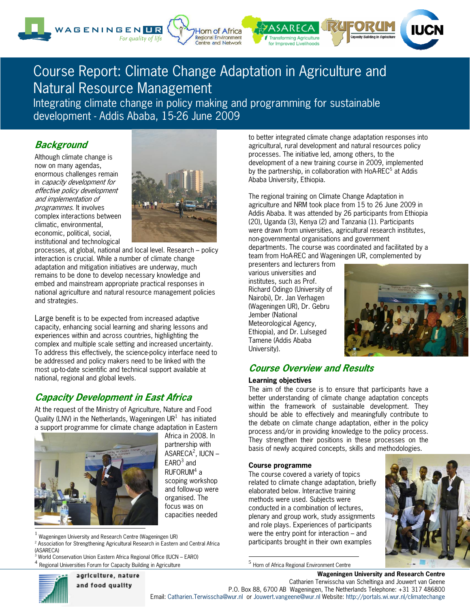

# Course Report: Climate Change Adaptation in Agriculture and Natural Resource Management

Integrating climate change in policy making and programming for sustainable development - Addis Ababa, 15-26 June 2009

### **Background**

t

Although climate change is now on many agendas, enormous challenges remain in capacity development for effective policy development and implementation of programmes. It involves complex interactions between climatic, environmental, economic, political, social, institutional and technological



processes, at global, national and local level. Research – policy interaction is crucial. While a number of climate change adaptation and mitigation initiatives are underway, much remains to be done to develop necessary knowledge and embed and mainstream appropriate practical responses in national agriculture and natural resource management policies and strategies.

Large benefit is to be expected from increased adaptive capacity, enhancing social learning and sharing lessons and experiences within and across countries, highlighting the complex and multiple scale setting and increased uncertainty. To address this effectively, the science-policy interface need to be addressed and policy makers need to be linked with the most up-to-date scientific and technical support available at national, regional and global levels.

## **Capacity Development in East Africa**

At the request of the Ministry of Agriculture, Nature and Food Quality (LNV) in the Netherlands, Wageningen UR $^1$  has initiated a support programme for climate change adaptation in Eastern



Africa in 2008. In partnership with ASARECA<sup>2</sup>, IUCN –  $EARO<sup>3</sup>$  and  $RUFORM<sup>4</sup> a$ scoping workshop and follow-up were organised. The focus was on capacities needed

<sup>1</sup> Wageningen University and Research Centre (Wageningen UR)

<sup>2</sup> Association for Strengthening Agricultural Research in Eastern and Central Africa (ASARECA)

<sup>3</sup> World Conservation Union Eastern Africa Regional Office (IUCN – EARO) Regional Universities Forum for Capacity Building in Agriculture

to better integrated climate change adaptation responses into agricultural, rural development and natural resources policy processes. The initiative led, among others, to the development of a new training course in 2009, implemented by the partnership, in collaboration with HoA-REC<sup>5</sup> at Addis Ababa University, Ethiopia.

The regional training on Climate Change Adaptation in agriculture and NRM took place from 15 to 26 June 2009 in Addis Ababa. It was attended by 26 participants from Ethiopia (20), Uganda (3), Kenya (2) and Tanzania (1). Participants were drawn from universities, agricultural research institutes, non-governmental organisations and government departments. The course was coordinated and facilitated by a team from HoA-REC and Wageningen UR, complemented by

presenters and lecturers from various universities and institutes, such as Prof. Richard Odingo (University of Nairobi), Dr. Jan Verhagen (Wageningen UR), Dr. Gebru Jember (National Meteorological Agency, Ethiopia), and Dr. Lulseged Tamene (Addis Ababa University).



### **Course Overview and Results**

### **Learning objectives**

The aim of the course is to ensure that participants have a better understanding of climate change adaptation concepts within the framework of sustainable development. They should be able to effectively and meaningfully contribute to the debate on climate change adaptation, either in the policy process and/or in providing knowledge to the policy process. They strengthen their positions in these processes on the basis of newly acquired concepts, skills and methodologies.

### **Course programme**

The course covered a variety of topics related to climate change adaptation, briefly elaborated below. Interactive training methods were used. Subjects were conducted in a combination of lectures, plenary and group work, study assignments and role plays. Experiences of participants were the entry point for interaction – and participants brought in their own examples



<sup>5</sup> Horn of Africa Regional Environment Centre



**Wageningen University and Research Centre**  Catharien Terwisscha van Scheltinga and Jouwert van Geene P.O. Box 88, 6700 AB Wageningen, The Netherlands Telephone: +31 317 486800 Email: Catharien.Terwisscha@wur.nl or Jouwert.vangeene@wur.nl Website: http://portals.wi.wur.nl/climatechange

l